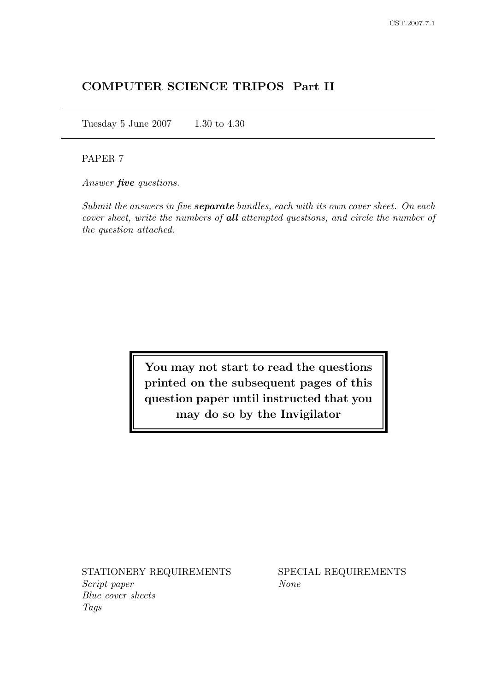# COMPUTER SCIENCE TRIPOS Part II

Tuesday 5 June 2007 1.30 to 4.30

## PAPER 7

Answer **five** questions.

Submit the answers in five **separate** bundles, each with its own cover sheet. On each cover sheet, write the numbers of all attempted questions, and circle the number of the question attached.

> You may not start to read the questions printed on the subsequent pages of this question paper until instructed that you may do so by the Invigilator

STATIONERY REQUIREMENTS SPECIAL REQUIREMENTS Script paper None Blue cover sheets Tags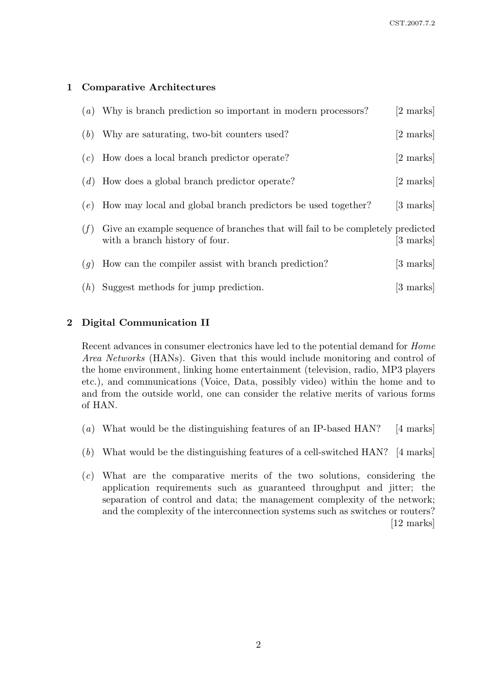# 1 Comparative Architectures

|     | $(a)$ Why is branch prediction so important in modern processors?                                                | [2 marks]           |
|-----|------------------------------------------------------------------------------------------------------------------|---------------------|
| (b) | Why are saturating, two-bit counters used?                                                                       | [2 marks]           |
| (c) | How does a local branch predictor operate?                                                                       | $[2 \text{ marks}]$ |
|     | $(d)$ How does a global branch predictor operate?                                                                | $[2 \text{ marks}]$ |
|     | $(e)$ How may local and global branch predictors be used together?                                               | [3 marks]           |
| (f) | Give an example sequence of branches that will fail to be completely predicted<br>with a branch history of four. | [3 marks]           |
| (g) | How can the compiler assist with branch prediction?                                                              | [3 marks]           |
| (h) | Suggest methods for jump prediction.                                                                             | $ 3 \text{ marks} $ |

# 2 Digital Communication II

Recent advances in consumer electronics have led to the potential demand for Home Area Networks (HANs). Given that this would include monitoring and control of the home environment, linking home entertainment (television, radio, MP3 players etc.), and communications (Voice, Data, possibly video) within the home and to and from the outside world, one can consider the relative merits of various forms of HAN.

- (a) What would be the distinguishing features of an IP-based HAN? [4 marks]
- (b) What would be the distinguishing features of a cell-switched HAN? [4 marks]
- (c) What are the comparative merits of the two solutions, considering the application requirements such as guaranteed throughput and jitter; the separation of control and data; the management complexity of the network; and the complexity of the interconnection systems such as switches or routers? [12 marks]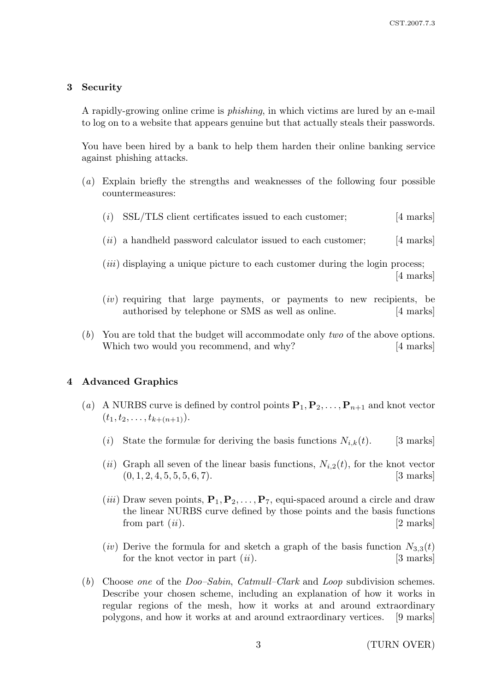#### 3 Security

A rapidly-growing online crime is phishing, in which victims are lured by an e-mail to log on to a website that appears genuine but that actually steals their passwords.

You have been hired by a bank to help them harden their online banking service against phishing attacks.

- (a) Explain briefly the strengths and weaknesses of the following four possible countermeasures:
	- $(i)$  SSL/TLS client certificates issued to each customer; [4 marks]
	- $(ii)$  a handheld password calculator issued to each customer; [4 marks]
	- $(iii)$  displaying a unique picture to each customer during the login process; [4 marks]
	- (iv) requiring that large payments, or payments to new recipients, be authorised by telephone or SMS as well as online. [4 marks]
- (b) You are told that the budget will accommodate only two of the above options. Which two would you recommend, and why? [4 marks]

#### 4 Advanced Graphics

- (a) A NURBS curve is defined by control points  ${\bf P}_1, {\bf P}_2, \ldots, {\bf P}_{n+1}$  and knot vector  $(t_1, t_2, \ldots, t_{k+(n+1)}).$ 
	- (i) State the formulæ for deriving the basis functions  $N_{i,k}(t)$ . [3 marks]
	- (ii) Graph all seven of the linear basis functions,  $N_{i,2}(t)$ , for the knot vector  $(0, 1, 2, 4, 5, 5, 5, 6, 7).$  [3 marks]
	- (*iii*) Draw seven points,  $P_1, P_2, \ldots, P_7$ , equi-spaced around a circle and draw the linear NURBS curve defined by those points and the basis functions from part  $(ii)$ . [2 marks]
	- (iv) Derive the formula for and sketch a graph of the basis function  $N_{3,3}(t)$ for the knot vector in part  $(ii)$ . [3 marks]
- (b) Choose one of the *Doo–Sabin, Catmull–Clark* and *Loop* subdivision schemes. Describe your chosen scheme, including an explanation of how it works in regular regions of the mesh, how it works at and around extraordinary polygons, and how it works at and around extraordinary vertices. [9 marks]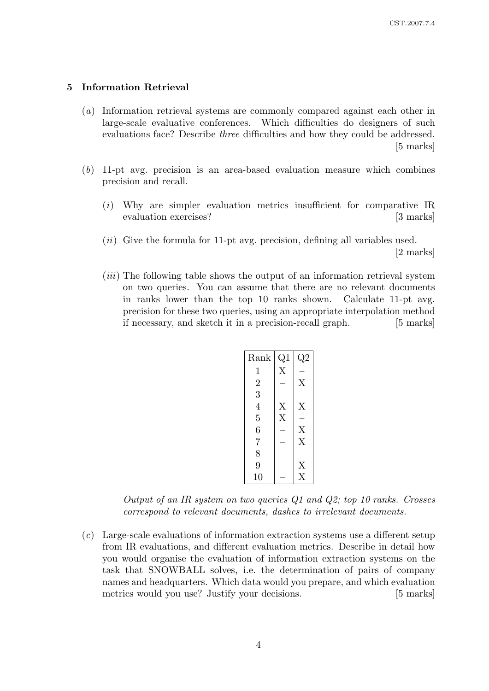#### 5 Information Retrieval

- (a) Information retrieval systems are commonly compared against each other in large-scale evaluative conferences. Which difficulties do designers of such evaluations face? Describe three difficulties and how they could be addressed. [5 marks]
- (b) 11-pt avg. precision is an area-based evaluation measure which combines precision and recall.
	- (i) Why are simpler evaluation metrics insufficient for comparative IR evaluation exercises? [3 marks]
	- $(ii)$  Give the formula for 11-pt avg. precision, defining all variables used. [2 marks]
	- (iii) The following table shows the output of an information retrieval system on two queries. You can assume that there are no relevant documents in ranks lower than the top 10 ranks shown. Calculate 11-pt avg. precision for these two queries, using an appropriate interpolation method if necessary, and sketch it in a precision-recall graph. [5 marks]

| Rank           | Q1             | $\rm{Q}2$               |
|----------------|----------------|-------------------------|
| 1              | X              |                         |
| $\overline{2}$ |                | X                       |
| 3              |                |                         |
| 4              | X              | X                       |
| $\overline{5}$ | $\overline{X}$ |                         |
| 6              |                | X                       |
| 7              |                | X                       |
| 8              |                |                         |
| 9              |                | $\rm\overline{X}$       |
| 10             |                | $\overline{\mathrm{X}}$ |

Output of an IR system on two queries Q1 and Q2; top 10 ranks. Crosses correspond to relevant documents, dashes to irrelevant documents.

(c) Large-scale evaluations of information extraction systems use a different setup from IR evaluations, and different evaluation metrics. Describe in detail how you would organise the evaluation of information extraction systems on the task that SNOWBALL solves, i.e. the determination of pairs of company names and headquarters. Which data would you prepare, and which evaluation metrics would you use? Justify your decisions. [5 marks]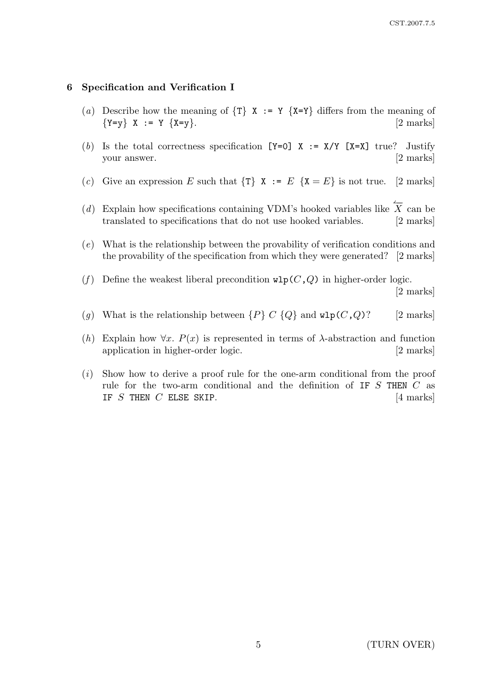### 6 Specification and Verification I

- (a) Describe how the meaning of  $\{T\}$  X := Y  $\{X=Y\}$  differs from the meaning of  ${Y=y} \quad X := Y \quad {X=y}.$  [2 marks]
- (b) Is the total correctness specification  $[Y=0]$  X := X/Y  $[X=X]$  true? Justify your answer. [2 marks]
- (c) Give an expression E such that  $\{\tau\}$   $\mathbf{X} := E \{ \mathbf{X} = E \}$  is not true. [2 marks]
- (d) Explain how specifications containing VDM's hooked variables like  $\overleftarrow{X}$  can be translated to specifications that do not use hooked variables. [2 marks]
- (e) What is the relationship between the provability of verification conditions and the provability of the specification from which they were generated? [2 marks]
- (f) Define the weakest liberal precondition  $\texttt{wlp}(C,Q)$  in higher-order logic.

[2 marks]

- (g) What is the relationship between  $\{P\} \ C \ \{Q\}$  and  $\text{wlp}(C,Q)$ ? [2 marks]
- (h) Explain how  $\forall x$ .  $P(x)$  is represented in terms of  $\lambda$ -abstraction and function application in higher-order logic. [2 marks]
- (i) Show how to derive a proof rule for the one-arm conditional from the proof rule for the two-arm conditional and the definition of IF S THEN C as IF  $S$  THEN  $C$  ELSE SKIP.  $[4 \text{ marks}]$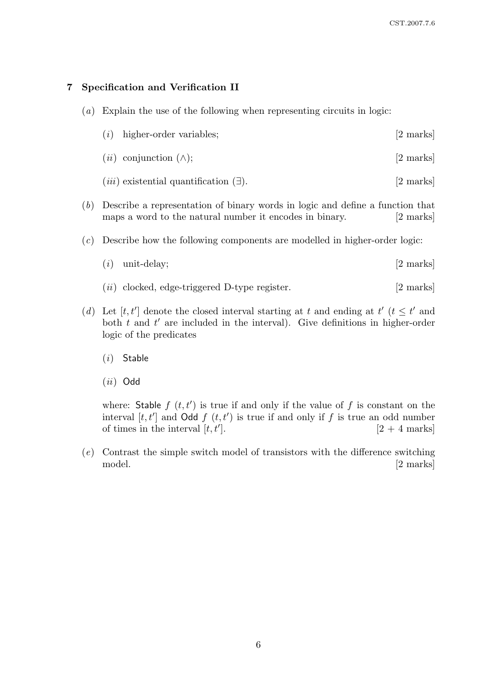## 7 Specification and Verification II

(a) Explain the use of the following when representing circuits in logic:

| $(i)$ higher-order variables;<br>[2 marks] |  |
|--------------------------------------------|--|
|--------------------------------------------|--|

- $(ii)$  conjunction  $(\wedge);$  [2 marks]
- $(iii)$  existential quantification  $(\exists)$ . [2 marks]
- (b) Describe a representation of binary words in logic and define a function that maps a word to the natural number it encodes in binary. [2 marks]
- (c) Describe how the following components are modelled in higher-order logic:
	- $(i)$  unit-delay;  $[2 \text{ marks}]$
	- $(ii)$  clocked, edge-triggered D-type register. [2 marks]
- (d) Let [t, t'] denote the closed interval starting at t and ending at t' ( $t \leq t'$  and both  $t$  and  $t'$  are included in the interval). Give definitions in higher-order logic of the predicates
	- (i) Stable
	- $(ii)$  Odd

where: Stable  $f(t, t')$  is true if and only if the value of f is constant on the interval  $[t, t']$  and Odd  $f(t, t')$  is true if and only if f is true an odd number of times in the interval  $[t, t']$ .  $[2 + 4$  marks

(e) Contrast the simple switch model of transistors with the difference switching model. [2 marks]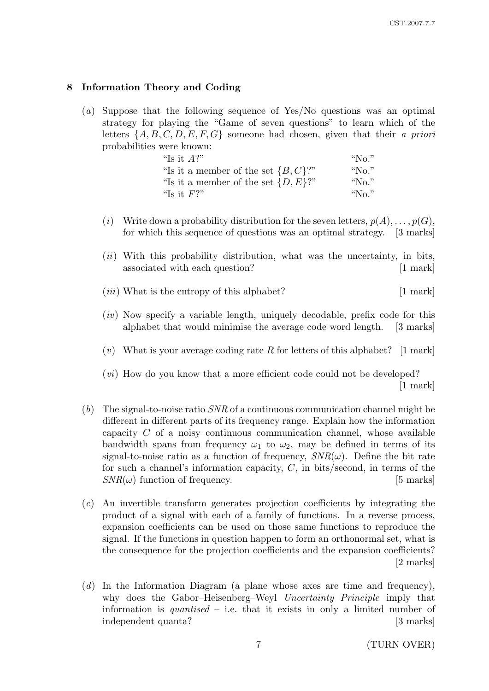## 8 Information Theory and Coding

(a) Suppose that the following sequence of Yes/No questions was an optimal strategy for playing the "Game of seven questions" to learn which of the letters  $\{A, B, C, D, E, F, G\}$  someone had chosen, given that their a priori probabilities were known:

| "Is it $A$ ?"                            | "No."    |
|------------------------------------------|----------|
| "Is it a member of the set $\{B, C\}$ ?" | " $No."$ |
| "Is it a member of the set $\{D, E\}$ ?" | " $No."$ |
| "Is it $F$ ?"                            | "No."    |

- (i) Write down a probability distribution for the seven letters,  $p(A), \ldots, p(G)$ , for which this sequence of questions was an optimal strategy. [3 marks]
- $(ii)$  With this probability distribution, what was the uncertainty, in bits, associated with each question? [1 mark]
- $(iii)$  What is the entropy of this alphabet?  $[1 \text{ mark}]$
- $(iv)$  Now specify a variable length, uniquely decodable, prefix code for this alphabet that would minimise the average code word length. [3 marks]
- (v) What is your average coding rate R for letters of this alphabet? [1 mark]

(vi) How do you know that a more efficient code could not be developed? [1 mark]

- (b) The signal-to-noise ratio  $SNR$  of a continuous communication channel might be different in different parts of its frequency range. Explain how the information capacity  $C$  of a noisy continuous communication channel, whose available bandwidth spans from frequency  $\omega_1$  to  $\omega_2$ , may be defined in terms of its signal-to-noise ratio as a function of frequency,  $SNR(\omega)$ . Define the bit rate for such a channel's information capacity,  $C$ , in bits/second, in terms of the  $SNR(\omega)$  function of frequency. [5 marks]
- (c) An invertible transform generates projection coefficients by integrating the product of a signal with each of a family of functions. In a reverse process, expansion coefficients can be used on those same functions to reproduce the signal. If the functions in question happen to form an orthonormal set, what is the consequence for the projection coefficients and the expansion coefficients? [2 marks]
- (d) In the Information Diagram (a plane whose axes are time and frequency), why does the Gabor–Heisenberg–Weyl Uncertainty Principle imply that information is *quantised* – i.e. that it exists in only a limited number of independent quanta? [3 marks]

7 (TURN OVER)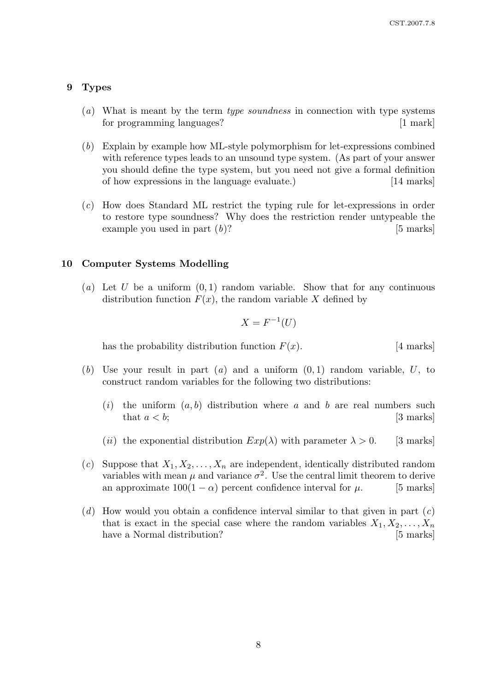#### 9 Types

- $(a)$  What is meant by the term *type soundness* in connection with type systems for programming languages? [1 mark]
- (b) Explain by example how ML-style polymorphism for let-expressions combined with reference types leads to an unsound type system. (As part of your answer you should define the type system, but you need not give a formal definition of how expressions in the language evaluate.) [14 marks]
- (c) How does Standard ML restrict the typing rule for let-expressions in order to restore type soundness? Why does the restriction render untypeable the example you used in part  $(b)$ ? [5 marks]

#### 10 Computer Systems Modelling

(a) Let U be a uniform  $(0, 1)$  random variable. Show that for any continuous distribution function  $F(x)$ , the random variable X defined by

$$
X = F^{-1}(U)
$$

has the probability distribution function  $F(x)$ . [4 marks]

- (b) Use your result in part (a) and a uniform  $(0, 1)$  random variable, U, to construct random variables for the following two distributions:
	- (i) the uniform  $(a, b)$  distribution where a and b are real numbers such that  $a < b$ ; [3 marks]
	- (*ii*) the exponential distribution  $Exp(\lambda)$  with parameter  $\lambda > 0$ . [3 marks]
- (c) Suppose that  $X_1, X_2, \ldots, X_n$  are independent, identically distributed random variables with mean  $\mu$  and variance  $\sigma^2$ . Use the central limit theorem to derive an approximate  $100(1 - \alpha)$  percent confidence interval for  $\mu$ . [5 marks]
- (d) How would you obtain a confidence interval similar to that given in part  $(c)$ that is exact in the special case where the random variables  $X_1, X_2, \ldots, X_n$ have a Normal distribution? [5 marks]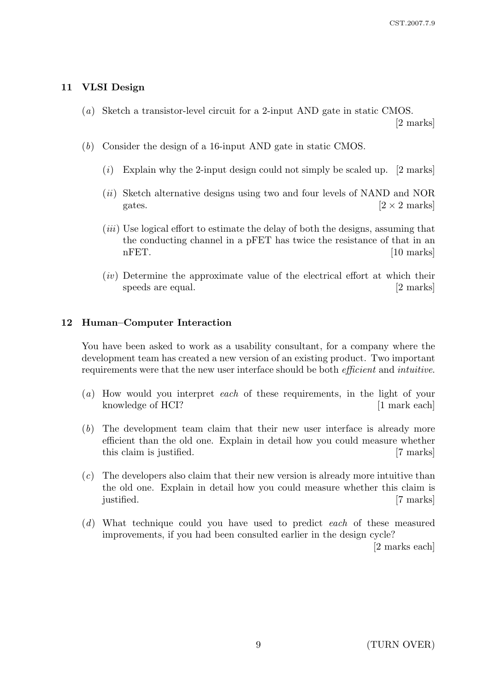## 11 VLSI Design

(a) Sketch a transistor-level circuit for a 2-input AND gate in static CMOS.

[2 marks]

- (b) Consider the design of a 16-input AND gate in static CMOS.
	- $(i)$  Explain why the 2-input design could not simply be scaled up. [2 marks]
	- $(ii)$  Sketch alternative designs using two and four levels of NAND and NOR gates.  $[2 \times 2 \text{ marks}]$
	- (*iii*) Use logical effort to estimate the delay of both the designs, assuming that the conducting channel in a pFET has twice the resistance of that in an nFET. [10 marks]
	- $(iv)$  Determine the approximate value of the electrical effort at which their speeds are equal. [2 marks]

## 12 Human–Computer Interaction

You have been asked to work as a usability consultant, for a company where the development team has created a new version of an existing product. Two important requirements were that the new user interface should be both efficient and intuitive.

- (a) How would you interpret each of these requirements, in the light of your knowledge of HCI? [1 mark each]
- (b) The development team claim that their new user interface is already more efficient than the old one. Explain in detail how you could measure whether this claim is justified. [7 marks]
- (c) The developers also claim that their new version is already more intuitive than the old one. Explain in detail how you could measure whether this claim is justified. [7 marks]
- (d) What technique could you have used to predict each of these measured improvements, if you had been consulted earlier in the design cycle?

[2 marks each]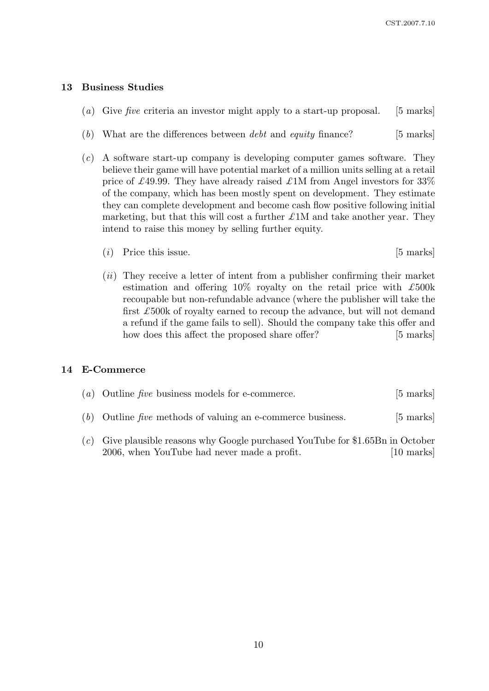## 13 Business Studies

- (a) Give five criteria an investor might apply to a start-up proposal. [5 marks]
- (b) What are the differences between *debt* and *equity* finance? [5 marks]
- (c) A software start-up company is developing computer games software. They believe their game will have potential market of a million units selling at a retail price of £49.99. They have already raised £1M from Angel investors for 33% of the company, which has been mostly spent on development. They estimate they can complete development and become cash flow positive following initial marketing, but that this will cost a further  $\pounds 1M$  and take another year. They intend to raise this money by selling further equity.
	- $(i)$  Price this issue. [5 marks]
	- $(ii)$  They receive a letter of intent from a publisher confirming their market estimation and offering  $10\%$  royalty on the retail price with  $\pounds 500k$ recoupable but non-refundable advance (where the publisher will take the first  $\pounds$ 500k of royalty earned to recoup the advance, but will not demand a refund if the game fails to sell). Should the company take this offer and how does this affect the proposed share offer? [5 marks]

#### 14 E-Commerce

| (a) Outline five business models for e-commerce.              | $[5 \text{ marks}]$ |
|---------------------------------------------------------------|---------------------|
| $(b)$ Outline five methods of valuing an e-commerce business. | $[5 \text{ marks}]$ |

(c) Give plausible reasons why Google purchased YouTube for \$1.65Bn in October 2006, when YouTube had never made a profit. [10 marks]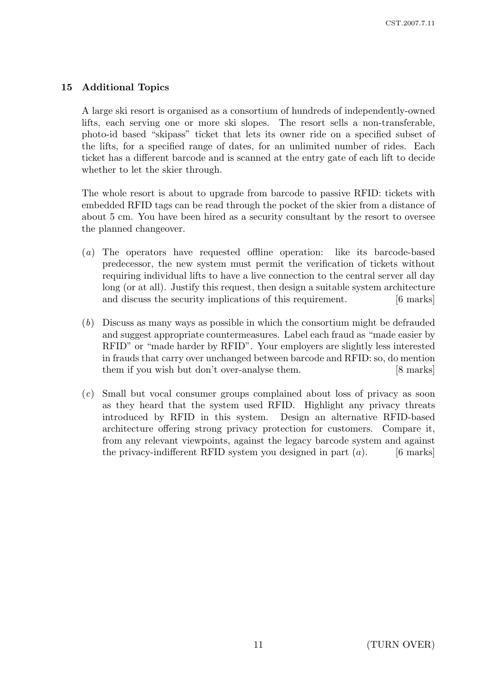## 15 Additional Topics

A large ski resort is organised as a consortium of hundreds of independently-owned lifts, each serving one or more ski slopes. The resort sells a non-transferable, photo-id based "skipass" ticket that lets its owner ride on a specified subset of the lifts, for a specified range of dates, for an unlimited number of rides. Each ticket has a different barcode and is scanned at the entry gate of each lift to decide whether to let the skier through.

The whole resort is about to upgrade from barcode to passive RFID: tickets with embedded RFID tags can be read through the pocket of the skier from a distance of about 5 cm. You have been hired as a security consultant by the resort to oversee the planned changeover.

- (a) The operators have requested offline operation: like its barcode-based predecessor, the new system must permit the verification of tickets without requiring individual lifts to have a live connection to the central server all day long (or at all). Justify this request, then design a suitable system architecture and discuss the security implications of this requirement. [6 marks]
- (b) Discuss as many ways as possible in which the consortium might be defrauded and suggest appropriate countermeasures. Label each fraud as "made easier by RFID" or "made harder by RFID". Your employers are slightly less interested in frauds that carry over unchanged between barcode and RFID: so, do mention them if you wish but don't over-analyse them. [8 marks]
- (c) Small but vocal consumer groups complained about loss of privacy as soon as they heard that the system used RFID. Highlight any privacy threats introduced by RFID in this system. Design an alternative RFID-based architecture offering strong privacy protection for customers. Compare it, from any relevant viewpoints, against the legacy barcode system and against the privacy-indifferent RFID system you designed in part  $(a)$ . [6 marks]